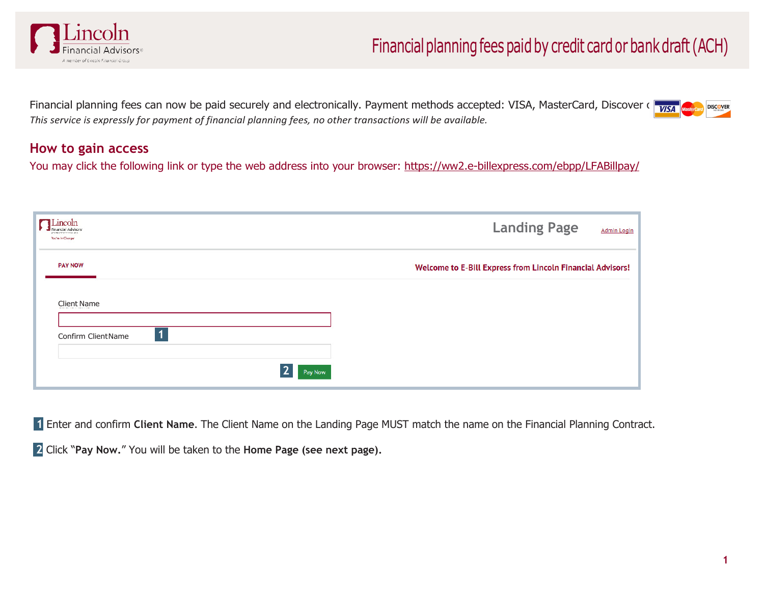

Financial planning fees can now be paid securely and electronically. Payment methods accepted: VISA, MasterCard, Discover  $\sqrt{\frac{V}{V}}$ *This service is expressly for payment of financial planning fees, no other transactions will be available.*

## **How to gain access**

You may click the following link or type the web address into your browser: https://ww2.e-billexpress.com/ebpp/LFABillpay/

| Lincoln<br>a nonder change is a nonsel can be<br>You're in Charger |   |         |  |                                                            | <b>Landing Page</b> | <b>Admin Login</b> |
|--------------------------------------------------------------------|---|---------|--|------------------------------------------------------------|---------------------|--------------------|
| <b>PAY NOW</b>                                                     |   |         |  | Welcome to E-Bill Express from Lincoln Financial Advisors! |                     |                    |
| <b>Client Name</b>                                                 |   |         |  |                                                            |                     |                    |
| Confirm ClientName                                                 | 1 |         |  |                                                            |                     |                    |
|                                                                    |   | Pay Now |  |                                                            |                     |                    |

**1** Enter and confirm **Client Name**. The Client Name on the Landing Page MUST match the name on the Financial Planning Contract.

**2** Click "**Pay Now.**" You will be taken to the **Home Page (see next page).**